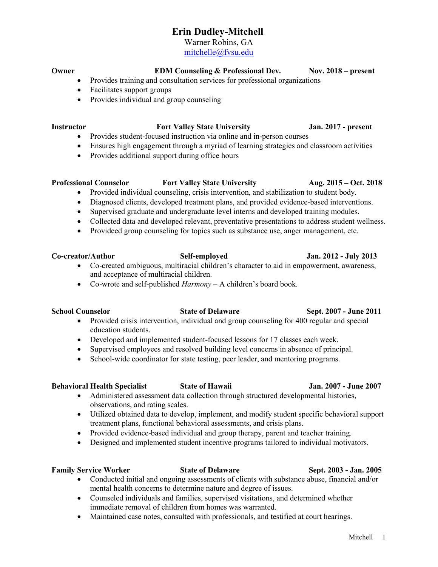# Erin Dudley-Mitchell

Warner Robins, GA

mitchelle@fvsu.edu

## Owner EDM Counseling & Professional Dev. Nov. 2018 – present

- Provides training and consultation services for professional organizations
- Facilitates support groups
- Provides individual and group counseling

## Instructor Fort Valley State University Jan. 2017 - present

- Provides student-focused instruction via online and in-person courses
- Ensures high engagement through a myriad of learning strategies and classroom activities
- Provides additional support during office hours

## Professional Counselor Fort Valley State University Aug. 2015 – Oct. 2018

- Provided individual counseling, crisis intervention, and stabilization to student body.
- Diagnosed clients, developed treatment plans, and provided evidence-based interventions.
- Supervised graduate and undergraduate level interns and developed training modules.
- Collected data and developed relevant, preventative presentations to address student wellness.
- Provideed group counseling for topics such as substance use, anger management, etc.

- Co-created ambiguous, multiracial children's character to aid in empowerment, awareness, and acceptance of multiracial children.
- Co-wrote and self-published  $Harmony A$  children's board book.

## School Counselor State of Delaware Sept. 2007 - June 2011

- Provided crisis intervention, individual and group counseling for 400 regular and special education students.
- Developed and implemented student-focused lessons for 17 classes each week.
- Supervised employees and resolved building level concerns in absence of principal.
- School-wide coordinator for state testing, peer leader, and mentoring programs.

## Behavioral Health Specialist State of Hawaii Jan. 2007 - June 2007

- Administered assessment data collection through structured developmental histories, observations, and rating scales.
- Utilized obtained data to develop, implement, and modify student specific behavioral support treatment plans, functional behavioral assessments, and crisis plans.
- Provided evidence-based individual and group therapy, parent and teacher training.
- Designed and implemented student incentive programs tailored to individual motivators.

## Family Service Worker State of Delaware Sept. 2003 - Jan. 2005

- Conducted initial and ongoing assessments of clients with substance abuse, financial and/or mental health concerns to determine nature and degree of issues.
- Counseled individuals and families, supervised visitations, and determined whether immediate removal of children from homes was warranted.
- Maintained case notes, consulted with professionals, and testified at court hearings.

# Mitchell 1

## Co-creator/Author Self-employed Jan. 2012 - July 2013